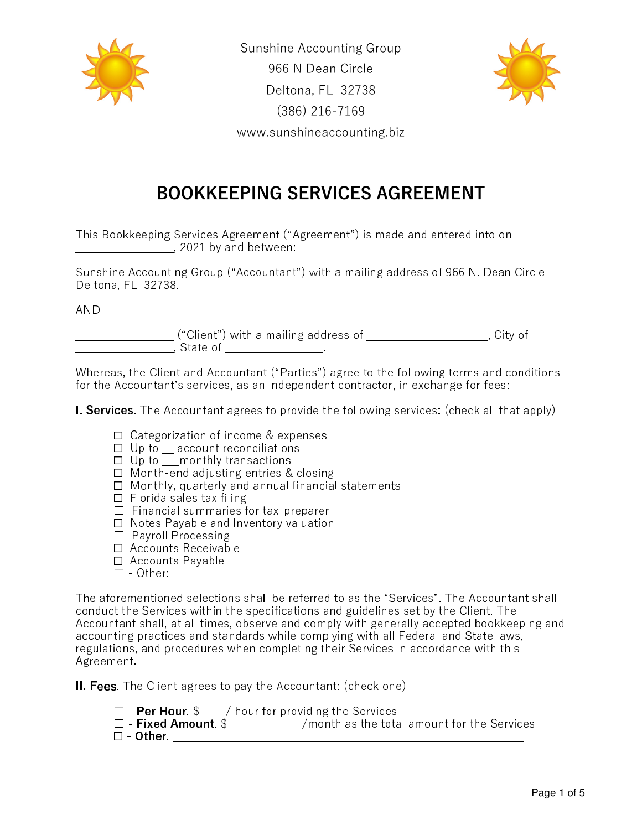

Sunshine Accounting Group 966 N Dean Circle Deltona, FL 32738 (386) 216-7169 www.sunshineaccounting.biz



## BOOKKEEPING SERVICES AGREEMENT

This Bookkeeping Services Agreement ("Agreement") is made and entered into on  $2021$  by and between: Ī

Sunshine Accounting Group ("Accountant") with a mailing address of 966 N. Dean Circle Deltona, FL 32738.

AND

 $("Client")$  with a mailing address of  $\hspace{1.5cm}$  City of  $\hspace{1.5cm}$ \_\_\_\_\_\_\_\_\_\_\_\_\_\_\_\_\_, State of \_\_\_\_\_\_\_\_\_\_\_\_\_\_\_\_\_.

Whereas, the Client and Accountant ("Parties") agree to the following terms and conditions for the Accountant's services, as an independent contractor, in exchange for fees:

**I. Services**. The Accountant agrees to provide the following services: (check all that apply)

- ☐ Categorization of income & expenses
- ☐ Up to \_\_ account reconciliations
- ☐ Up to \_\_\_monthly transactions
- ☐ Month-end adjusting entries & closing
- ☐ Monthly, quarterly and annual financial statements
- ☐ Florida sales tax filing
- ☐ Financial summaries for tax-preparer
- ☐ Notes Payable and Inventory valuation
- ☐ Payroll Processing
- ☐ Accounts Receivable
- ☐ Accounts Payable
- $\Box$  Other:

The aforementioned selections shall be referred to as the "Services". The Accountant shall conduct the Services within the specifications and guidelines set by the Client. The Accountant shall, at all times, observe and comply with generally accepted bookkeeping and accounting practices and standards while complying with all Federal and State laws, regulations, and procedures when completing their Services in accordance with this Agreement.

II. Fees. The Client agrees to pay the Accountant: (check one)

 $\Box$  - Per Hour.  $\$\quad/$  hour for providing the Services

 $\Box$  - Fixed Amount.  $\$\hspace{0.1cm}$  /month as the total amount for the Services ☐ - Other. \_\_\_\_\_\_\_\_\_\_\_\_\_\_\_\_\_\_\_\_\_\_\_\_\_\_\_\_\_\_\_\_\_\_\_\_\_\_\_\_\_\_\_\_\_\_\_\_\_\_\_\_\_\_\_\_\_\_\_\_\_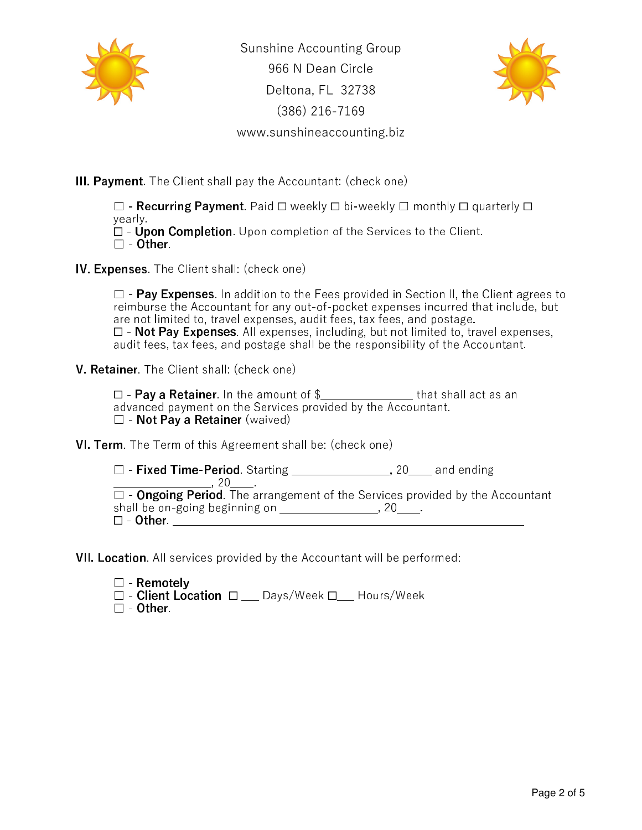

Sunshine Accounting Group 966 N Dean Circle Deltona, FL 32738 (386) 216-7169 www.sunshineaccounting.biz



III. Payment. The Client shall pay the Accountant: (check one)

☐ - Recurring Payment. Paid ☐ weekly ☐ bi-weekly ☐ monthly ☐ quarterly ☐ yearly.

 $\Box$  -  $\dot{\sf U}$ pon Completion. Upon completion of the Services to the Client.

☐ - Other.

**IV. Expenses.** The Client shall: (check one)

 $\Box$  - Pay Expenses. In addition to the Fees provided in Section II, the Client agrees to reimburse the Accountant for any out-of-pocket expenses incurred that include, but are not limited to, travel expenses, audit fees, tax fees, and postage. ☐ - Not Pay Expenses. All expenses, including, but not limited to, travel expenses, audit fees, tax fees, and postage shall be the responsibility of the Accountant.

V. Retainer. The Client shall: (check one)

☐ - Pay a Retainer. In the amount of \$\_\_\_\_\_\_\_\_\_\_\_\_\_\_\_\_ that shall act as an advanced payment on the Services provided by the Accountant. □ - Not Pay a Retainer (waived)

VI. Term. The Term of this Agreement shall be: (check one)

□ - Fixed Time-Period. Starting \_\_\_\_\_\_\_\_\_\_\_\_\_\_\_\_, 20\_\_\_\_ and ending  $,~20$  $\Box$  - Ongoing Period. The arrangement of the Services provided by the Accountant shall be on-going beginning on  $\frac{1}{2}$   $\frac{1}{2}$   $\frac{1}{2}$   $\frac{1}{2}$   $\frac{1}{2}$   $\frac{1}{2}$   $\frac{1}{2}$   $\frac{1}{2}$   $\frac{1}{2}$   $\frac{1}{2}$   $\frac{1}{2}$   $\frac{1}{2}$   $\frac{1}{2}$   $\frac{1}{2}$   $\frac{1}{2}$   $\frac{1}{2}$   $\frac{1}{2}$   $\frac{1}{2}$   $\frac{1}{2}$  ☐ - Other. \_\_\_\_\_\_\_\_\_\_\_\_\_\_\_\_\_\_\_\_\_\_\_\_\_\_\_\_\_\_\_\_\_\_\_\_\_\_\_\_\_\_\_\_\_\_\_\_\_\_\_\_\_\_\_\_\_\_\_\_\_

VII. Location. All services provided by the Accountant will be performed:

☐ - Remotely ☐ - Client Location ☐ \_\_\_ Days/Week ☐\_\_\_ Hours/Week ☐ - Other.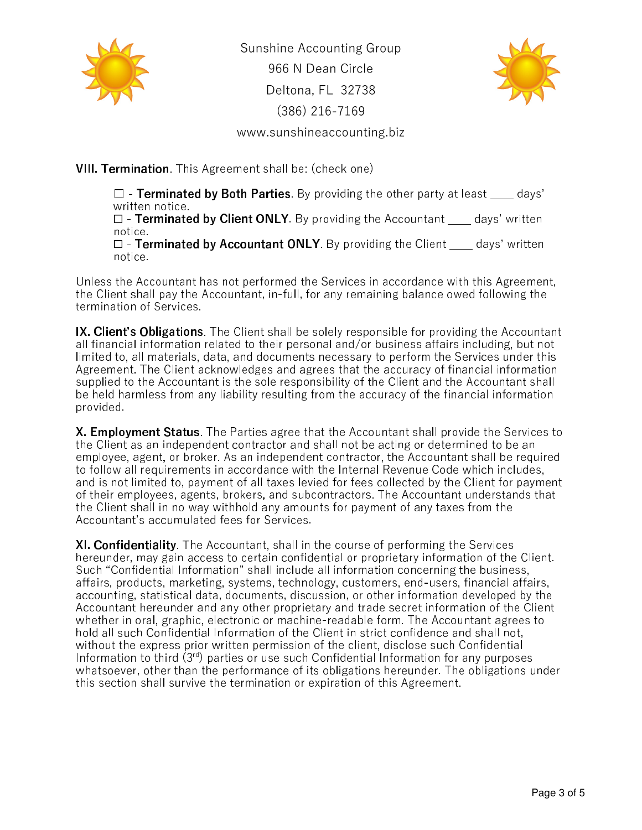

Sunshine Accounting Group 966 N Dean Circle Deltona, FL 32738 (386) 216-7169 www.sunshineaccounting.biz



VIII. Termination. This Agreement shall be: (check one)

 $\Box$  - Terminated by Both Parties. By providing the other party at least days' written notice.  $\Box$  - Terminated by Client ONLY. By providing the Accountant days' written

notice.

 $\Box$  - Terminated by Accountant ONLY. By providing the Client days' written notice.

Unless the Accountant has not performed the Services in accordance with this Agreement, the Client shall pay the Accountant, in-full, for any remaining balance owed following the termination of Services.

IX. Client's Obligations. The Client shall be solely responsible for providing the Accountant all financial information related to their personal and/or business affairs including, but not limited to, all materials, data, and documents necessary to perform the Services under this Agreement. The Client acknowledges and agrees that the accuracy of financial information supplied to the Accountant is the sole responsibility of the Client and the Accountant shall be held harmless from any liability resulting from the accuracy of the financial information provided. Ĩ.

X. Employment Status. The Parties agree that the Accountant shall provide the Services to the Client as an independent contractor and shall not be acting or determined to be an employee, agent, or broker. As an independent contractor, the Accountant shall be required to follow all requirements in accordance with the Internal Revenue Code which includes, and is not limited to, payment of all taxes levied for fees collected by the Client for payment of their employees, agents, brokers, and subcontractors. The Accountant understands that the Client shall in no way withhold any amounts for payment of any taxes from the Accountant's accumulated fees for Services.

XI. Confidentiality. The Accountant, shall in the course of performing the Services hereunder, may gain access to certain confidential or proprietary information of the Client. Such "Confidential Information" shall include all information concerning the business, affairs, products, marketing, systems, technology, customers, end-users, financial affairs, accounting, statistical data, documents, discussion, or other information developed by the Accountant hereunder and any other proprietary and trade secret information of the Client whether in oral, graphic, electronic or machine-readable form. The Accountant agrees to hold all such Confidential Information of the Client in strict confidence and shall not, without the express prior written permission of the client, disclose such Confidential Information to third (3rd) parties or use such Confidential Information for any purposes whatsoever, other than the performance of its obligations hereunder. The obligations under this section shall survive the termination or expiration of this Agreement.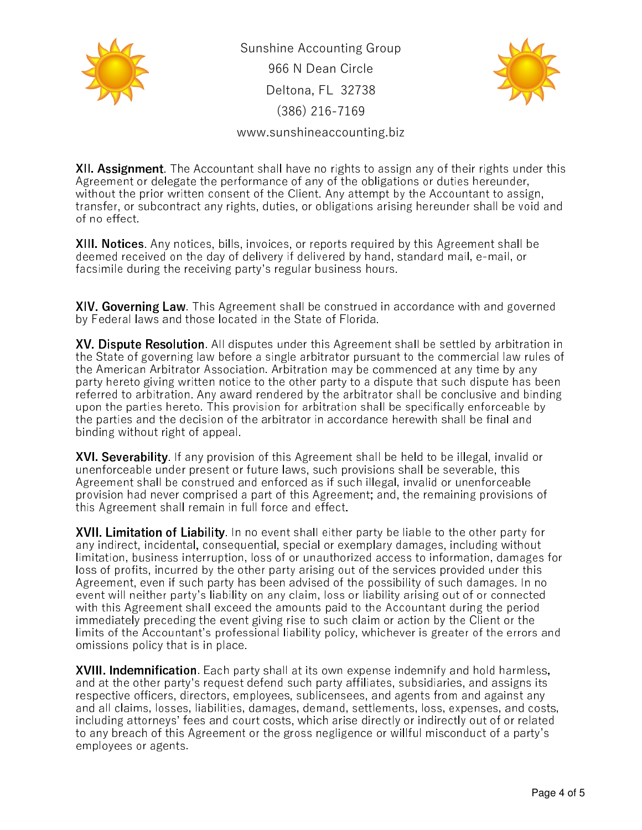

Sunshine Accounting Group 966 N Dean Circle Deltona, FL 32738 (386) 216-7169



www.sunshineaccounting.biz

**XII. Assignment**. The Accountant shall have no rights to assign any of their rights under this Agreement or delegate the performance of any of the obligations or duties hereunder, without the prior written consent of the Client. Any attempt by the Accountant to assign, transfer, or subcontract any rights, duties, or obligations arising hereunder shall be void and of no effect.

XIII. Notices. Any notices, bills, invoices, or reports required by this Agreement shall be deemed received on the day of delivery if delivered by hand, standard mail, e-mail, or facsimile during the receiving party's regular business hours.

XIV. Governing Law. This Agreement shall be construed in accordance with and governed by Federal laws and those located in the State of Florida.

XV. Dispute Resolution. All disputes under this Agreement shall be settled by arbitration in the State of governing law before a single arbitrator pursuant to the commercial law rules of the American Arbitrator Association. Arbitration may be commenced at any time by any party hereto giving written notice to the other party to a dispute that such dispute has been referred to arbitration. Any award rendered by the arbitrator shall be conclusive and binding upon the parties hereto. This provision for arbitration shall be specifically enforceable by the parties and the decision of the arbitrator in accordance herewith shall be final and binding without right of appeal.

XVI. Severability. If any provision of this Agreement shall be held to be illegal, invalid or unenforceable under present or future laws, such provisions shall be severable, this Agreement shall be construed and enforced as if such illegal, invalid or unenforceable provision had never comprised a part of this Agreement; and, the remaining provisions of this Agreement shall remain in full force and effect.

**XVII. Limitation of Liability**. In no event shall either party be liable to the other party for any indirect, incidental, consequential, special or exemplary damages, including without limitation, business interruption, loss of or unauthorized access to information, damages for loss of profits, incurred by the other party arising out of the services provided under this Agreement, even if such party has been advised of the possibility of such damages. In no event will neither party's liability on any claim, loss or liability arising out of or connected with this Agreement shall exceed the amounts paid to the Accountant during the period immediately preceding the event giving rise to such claim or action by the Client or the limits of the Accountant's professional liability policy, whichever is greater of the errors and omissions policy that is in place.

XVIII. Indemnification. Each party shall at its own expense indemnify and hold harmless, and at the other party's request defend such party affiliates, subsidiaries, and assigns its respective officers, directors, employees, sublicensees, and agents from and against any and all claims, losses, liabilities, damages, demand, settlements, loss, expenses, and costs, including attorneys' fees and court costs, which arise directly or indirectly out of or related to any breach of this Agreement or the gross negligence or willful misconduct of a party's employees or agents.